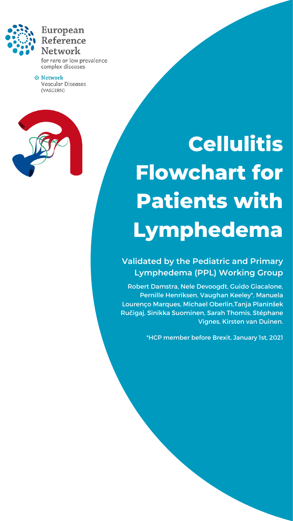

## European Reference **Network**

for rare or low prevalence complex diseases

**⊕** Network Vascular Diseases (VASCERN)



# **Cellulitis Flowchart for Patients with Lymphedema**

**Validated by the Pediatric and Primary Lymphedema (PPL) Working Group**

Robert Damstra, Nele Devoogdt, Guido Giacalone, Pernille Henriksen, Vaughan Keeley\*, Manuela Lourenço Marques, Michael Oberlin,Tanja Planinšek Ručigaj, Sinikka Suominen, Sarah Thomis, Stéphane Vignes, Kirsten van Duinen.

\*HCP member before Brexit, January 1st, 2021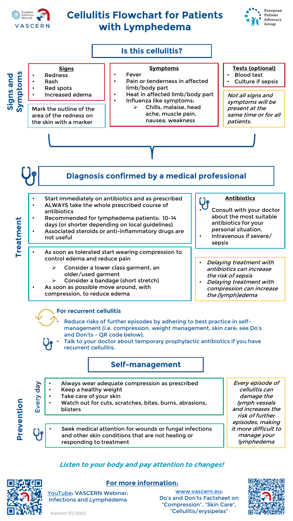

# **Cellulitis Flowchart for Patients with Lymphedema**





### **Listen to your body and pay attention to changes!**



#### **For more information:**

[YouTube:](https://www.youtube.com/c/VASCERNERNRareVascularDiseases) VASCERN Webinar: Infections and Lymphedema

[www.vascern.eu:](http://www.vascern.eu/) Do's and Don'ts Factsheet on "Compression", "Skin Care", "Cellulitis/erysipelas"